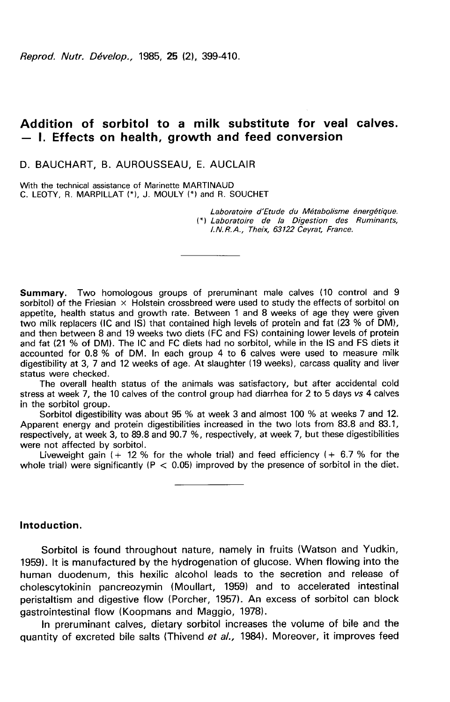Reprod. Nutr. Dévelop., 1985, 25 (2), 399-410.

# Addition of sorbitol to a milk substitute for veal calves. — I. Effects on health, growth and feed conversion

### D. BAUCHART. B. AUROUSSEAU. E. AUCLAIR

With the technical assistance of Marinette MARTINAUD C. LEOTY, R. MARPILLAT (\*), J. MOULY (\*) and R. SOUCHET

> Laboratoire d'Etude du Métabolisme énergétique. (\*) Laboratoire de la Digestion des Ruminants, I.N.R.A., Theix, 63122 Ceyrat, France.

Summary. Two homologous groups of preruminant male calves (10 control and 9 sorbitol) of the Friesian  $\times$  Holstein crossbreed were used to study the effects of sorbitol on appetite, health status and growth rate. Between 1 and 8 weeks of age they were given two milk replacers (IC and IS) that contained high levels of protein and fat (23 % of DM), and then between 8 and 19 weeks two diets (FC and FS) containing lower levels of protein and fat (21 % of DM). The IC and FC diets had no sorbitol, while in the IS and FS diets it accounted for 0.8 % of DM. In each group 4 to 6 calves were used to measure milk digestibility at 3, 7 and 12 weeks of age. At slaughter (19 weeks), carcass quality and liver status were checked.

The overall health status of the animals was satisfactory, but after accidental cold stress at week 7, the 10 calves of the control group had diarrhea for 2 to 5 days vs 4 calves in the sorbitol group.

Sorbitol digestibility was about 95 % at week 3 and almost 100 % at weeks 7 and 12. Apparent energy and protein digestibilities increased in the two lots from 83.8 and 83.1, respectively, at week 3, to 89.8 and 90.7 %, respectively, at week 7, but these digestibilities were not affected by sorbitol.

Liveweight gain  $(+ 12 %$  for the whole trial) and feed efficiency  $(+ 6.7 %$  for the whole trial) were significantly ( $P < 0.05$ ) improved by the presence of sorbitol in the diet.

# lntoduction.

Sorbitol is found throughout nature, namely in fruits (Watson and Yudkin, 1959). It is manufactured by the hydrogenation of glucose. When flowing into the human duodenum, this hexilic alcohol leads to the secretion and release of cholescytokinin pancreozymin (Moullart, 1959) and to accelerated intestinal peristaltism and digestive flow (Porcher, 1957). An excess of sorbitol can block gastrointestinal flow (Koopmans and Maggio, 1978).

In preruminant calves, dietary sorbitol increases the volume of bile and the quantity of excreted bile salts (Thivend et al., 1984). Moreover, it improves feed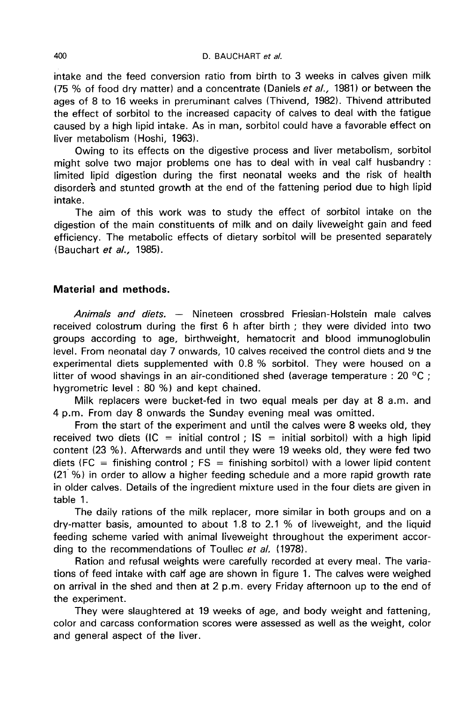intake and the feed conversion ratio from birth to 3 weeks in calves given milk (75 % of food dry matter) and a concentrate (Daniels et al., 1981) or between the ages of 8 to 16 weeks in preruminant calves (Thivend, 1982). Thivend attributed the effect of sorbitol to the increased capacity of calves to deal with the fatigue caused by a high lipid intake. As in man, sorbitol could have a favorable effect on liver metabolism (Hoshi, 1963).

Owing to its effects on the digestive process and liver metabolism, sorbitol might solve two major problems one has to deal with in veal calf husbandry : limited lipid digestion during the first neonatal weeks and the risk of health disorders and stunted growth at the end of the fattening period due to high lipid intake.

The aim of this work was to study the effect of sorbitol intake on the digestion of the main constituents of milk and on daily liveweight gain and feed efficiency. The metabolic effects of dietary sorbitol will be presented separately (Bauchart et al., 1985).

# Material and methods.

Animals and diets. - Nineteen crossbred Friesian-Holstein male calves received colostrum during the first 6 h after birth ; they were divided into two groups according to age, birthweight, hematocrit and blood immunoglobulin level. From neonatal day 7 onwards, 10 calves received the control diets and 9 the experimental diets supplemented with 0.8 % sorbitol. They were housed on a litter of wood shavings in an air-conditioned shed (average temperature : 20  $^{\circ}$ C ; hygrometric level : 80 %) and kept chained.

Milk replacers were bucket-fed in two equal meals per day at 8 a.m. and 4 p.m. From day 8 onwards the Sunday evening meal was omitted.

From the start of the experiment and until the calves were 8 weeks old, they received two diets (IC = initial control ; IS = initial sorbitol) with a high lipid content (23 %). Afterwards and until they were 19 weeks old, they were fed two diets (FC = finishing control ; FS = finishing sorbitol) with a lower lipid content (21 %) in order to allow a higher feeding schedule and a more rapid growth rate in older calves. Details of the ingredient mixture used in the four diets are given in table 1.

The daily rations of the milk replacer, more similar in both groups and on a dry-matter basis, amounted to about 1.8 to 2.1 % of liveweight, and the liquid feeding scheme varied with animal liveweight throughout the experiment according to the recommendations of Toullec et al. (1978).

Ration and refusal weights were carefully recorded at every meal. The variations of feed intake with calf age are shown in figure 1. The calves were weighed on arrival in the shed and then at 2 p.m. every Friday afternoon up to the end of the experiment.

They were slaughtered at 19 weeks of age, and body weight and fattening, color and carcass conformation scores were assessed as well as the weight, color and general aspect of the liver.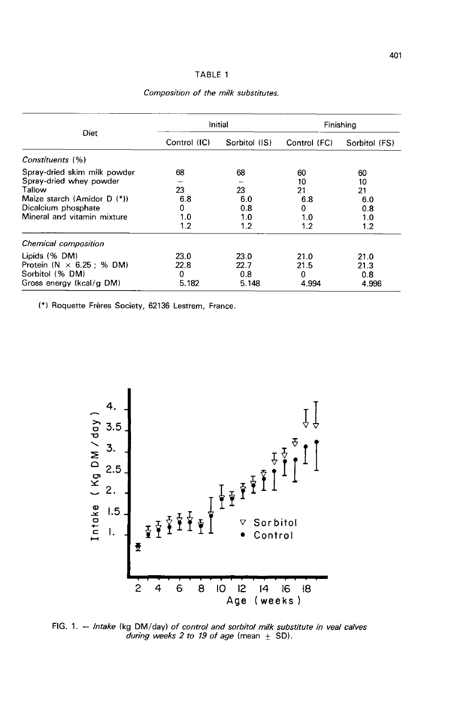### TABLE 1

| Diet                              | Initial      |               | Finishing    |               |
|-----------------------------------|--------------|---------------|--------------|---------------|
|                                   | Control (IC) | Sorbitol (IS) | Control (FC) | Sorbitol (FS) |
| Constituents (%)                  |              |               |              |               |
| Spray-dried skim milk powder      | 68           | 68            | 60           | 60            |
| Spray-dried whey powder           |              |               | 10           | 10            |
| Tallow                            | 23           | 23            | 21           | 21            |
| Maize starch (Amidor D (*))       | 6.8          | 6.0           | 6.8          | 6.0           |
| Dicalcium phosphate               | 0            | 0.8           | 0            | 0.8           |
| Mineral and vitamin mixture       | 1.0          | 1.0           | 1.0          | 1.0           |
|                                   | 1.2          | 1.2           | 1.2          | 1.2           |
| Chemical composition              |              |               |              |               |
| Lipids (% DM)                     | 23.0         | 23.0          | 21.0         | 21.0          |
| Protein ( $N \times 6.25$ : % DM) | 22.8         | 22.7          | 21.5         | 21.3          |
| Sorbitol (% DM)                   | 0            | 0.8           | 0            | 0.8           |
| Gross energy (kcal/g DM)          | 5.182        | 5.148         | 4.994        | 4.996         |

Composition of the milk substitutes.

(\*) Roquette Frères Society, 62136 Lestrem, France.



FIG. 1. - Intake (kg DM/day) of control and sorbitol milk substitute in veal calves during weeks 2 to 19 of age (mean  $\pm$  SD).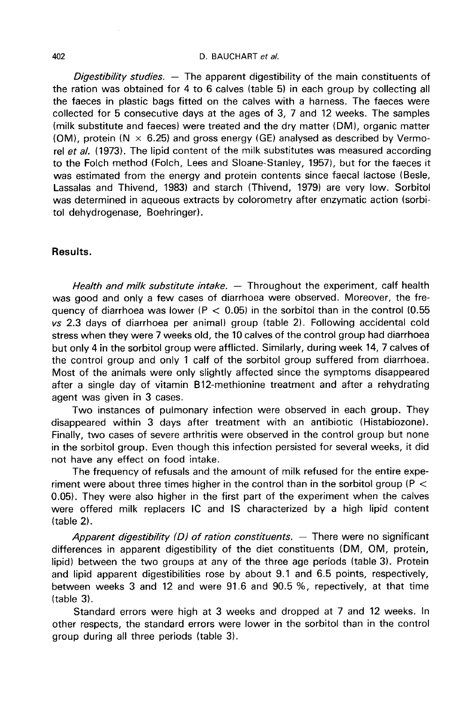#### D. BAUCHART et al.

Digestibility studies.  $-$  The apparent digestibility of the main constituents of the ration was obtained for 4 to 6 calves (table 5) in each group by collecting all the faeces in plastic bags fitted on the calves with a harness. The faeces were collected for 5 consecutive days at the ages of 3, 7 and 12 weeks. The samples (milk substitute and faeces) were treated and the dry matter (DM), organic matter (OM), protein ( $N \times 6.25$ ) and gross energy (GE) analysed as described by Vermorel et al. (1973). The lipid content of the milk substitutes was measured according to the Folch method (Folch, Lees and Sloane-Stanley, 1957), but for the faeces it was estimated from the energy and protein contents since faecal lactose (Besle, Lassalas and Thivend, 1983) and starch (Thivend, 1979) are very low. Sorbitol was determined in aqueous extracts by colorometry after enzymatic action (sorbitol dehydrogenase, Boehringer).

# Results.

Health and milk substitute intake. - Throughout the experiment, calf health was good and only a few cases of diarrhoea were observed. Moreover, the frequency of diarrhoea was lower ( $P < 0.05$ ) in the sorbitol than in the control (0.55 vs 2.3 days of diarrhoea per animal) group (table 2). Following accidental cold stress when they were 7 weeks old, the 10 calves of the control group had diarrhoea but only 4 in the sorbitol group were afflicted. Similarly, during week 14, 7 calves of the control group and only 1 calf of the sorbitol group suffered from diarrhoea. Most of the animals were only slightly affected since the symptoms disappeared after a single day of vitamin B12-methionine treatment and after a rehydrating agent was given in 3 cases.

Two instances of pulmonary infection were observed in each group. They disappeared within 3 days after treatment with an antibiotic (Histabiozone). Finally, two cases of severe arthritis were observed in the control group but none in the sorbitol group. Even though this infection persisted for several weeks, it did not have any effect on food intake.

The frequency of refusals and the amount of milk refused for the entire experiment were about three times higher in the control than in the sorbitol group ( $P <$ 0.05). They were also higher in the first part of the experiment when the calves were offered milk replacers IC and IS characterized by a high lipid content (table 2).

Apparent digestibility (D) of ration constituents.  $-$  There were no significant differences in apparent digestibility of the diet constituents (DM, OM, protein, lipid) between the two groups at any of the three age periods (table 3). Protein and lipid apparent digestibilities rose by about 9.1 and 6.5 points, respectively, between weeks 3 and 12 and were 91.6 and 90.5 %, repectively, at that time (table 3).

Standard errors were high at 3 weeks and dropped at 7 and 12 weeks. In other respects, the standard errors were lower in the sorbitol than in the control group during all three periods (table 3).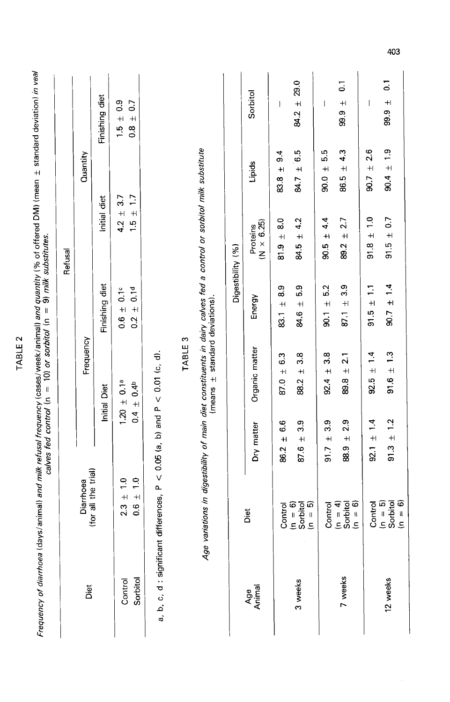|                          | Frequency of diarrhoea (days/animal) a <i>nd milk refusal frequency</i> (cases/week/animal) and quantity (% of offered DM) (mean ± standard deviation) <i>in veal</i><br>calves fed control in = 10) or sorbol (n = 10) or sorbitol (n = 9) |                                      |                                       |                                           |                                            |                                         |                                              |
|--------------------------|---------------------------------------------------------------------------------------------------------------------------------------------------------------------------------------------------------------------------------------------|--------------------------------------|---------------------------------------|-------------------------------------------|--------------------------------------------|-----------------------------------------|----------------------------------------------|
|                          |                                                                                                                                                                                                                                             |                                      |                                       |                                           | Refusal                                    |                                         |                                              |
| Diet                     | (for all the trial)<br>Diarrhoea                                                                                                                                                                                                            |                                      | Frequency                             |                                           |                                            | Quantity                                |                                              |
|                          |                                                                                                                                                                                                                                             |                                      | Initial Diet                          | Finishing diet                            | Initial diet                               |                                         | Finishing diet                               |
| Control                  | $\frac{1}{1}$<br>$\pm$<br>2.3                                                                                                                                                                                                               |                                      | $1.20 \pm 0.1^a$                      | 0.1c<br>$\ddot{+}$<br>$\frac{6}{1}$       | $\ddot{+}$<br>42                           | 37                                      | $\frac{6}{3}$<br>$\ddot{+}$<br>$\frac{5}{1}$ |
| Sorbitol                 | $\frac{0}{1}$<br>$+1$<br>$\frac{6}{1}$                                                                                                                                                                                                      | $\overline{a}$                       | $\pm 0.4^{\text{b}}$                  | 0.1 <sup>d</sup><br>$+1$<br>$\frac{2}{3}$ | $\ddot{}$<br>$\frac{5}{1}$                 | $\overline{1}$                          | 0.7<br>$+1$<br>$\frac{8}{1}$                 |
| a, b, c, d : significant | differences, $P < 0.05$ (a, b) and $P < 0.01$ (c, d).                                                                                                                                                                                       |                                      |                                       |                                           |                                            |                                         |                                              |
|                          |                                                                                                                                                                                                                                             |                                      | TABLE <sub>3</sub>                    |                                           |                                            |                                         |                                              |
|                          | variations in digestibility of main diet constituents in dairy calves fed a control or sorbitol milk substitute<br>Age                                                                                                                      |                                      | (means $\pm$ standard deviations)     |                                           |                                            |                                         |                                              |
|                          |                                                                                                                                                                                                                                             |                                      |                                       | Digestibility (%)                         |                                            |                                         |                                              |
| Age<br>Animal            | Diet                                                                                                                                                                                                                                        | Dry matter                           | Organic matter                        | Energy                                    | $(N \times 6.25)$<br>Proteins              | Lipids                                  | Sorbitol                                     |
|                          | Control                                                                                                                                                                                                                                     | 6.6<br>$\ddot{}$<br>86.2             | 6.3<br>$+1$<br>87.0                   | 8.9<br>$+$ i<br>83.1                      | $\frac{0}{8}$<br>$\ddot{+}$<br>.<br>თ<br>თ | ್ಯ<br>$+$<br>83                         | 1                                            |
| 3 weeks                  | $\begin{array}{l} \mathsf{(n=6)} \\ \mathsf{Sorbiod} \\ \mathsf{Sorbiod} \\ \mathsf{in} \end{array}$                                                                                                                                        | 3.9<br>$\ddot{+}$<br>87.6            | 3.8<br>$+1$<br>88.2                   | 5.9<br>$+$<br>84.6                        | 4.2<br>$+1$<br>84.5                        | 6.5<br>$+1$<br>84.7                     | 29.0<br>$\ddot{+}$<br>84.2                   |
|                          | Control                                                                                                                                                                                                                                     | 33<br>$\overline{+}$<br>91.7         | 3.8<br>$+$<br>92.4                    | 5.2<br>$\pm$<br>$\overline{5}$            | 4.4<br>$\pm$<br>90.5                       | بما<br>م<br>$\ddot{+}$<br>$\frac{0}{8}$ | I                                            |
| 7 weeks                  | $(n = 4)$<br>Sorbitol<br>$0 = 6$                                                                                                                                                                                                            | 2.9<br>$+$<br>88.9                   | $\overline{2.1}$<br>$\ddot{}$<br>89.8 | 33<br>$+1$<br>$\overline{87.1}$           | 2.7<br>$+1$<br>89.2                        | 4.3<br>$+1$<br>86.5                     | $\overline{c}$<br>$+$<br>99.9                |
|                          | Control                                                                                                                                                                                                                                     | $\ddot{ }$<br>$\overline{+}$<br>92.1 | 1.4<br>$\overline{+}$<br>92.5         | H<br>$+$<br>91 5                          | $\frac{1}{1}$<br>$+$<br>91.8               | 2.6<br>$+$<br>90.7                      | I                                            |
| 12 weeks                 | Sorbitol<br>$(n = 6)$<br>$(n = 5)$                                                                                                                                                                                                          | $91.3 \pm 1.2$                       | $\pm$ 1.3<br>91.6                     | $90.7 \pm 1.4$                            | $\overline{0}$<br>$+$<br>91.5              | $\frac{5}{1}$<br>$+1$<br>90.4           | $\overline{\phantom{0}}$<br>$+$<br>99.9      |

TABLE 2

403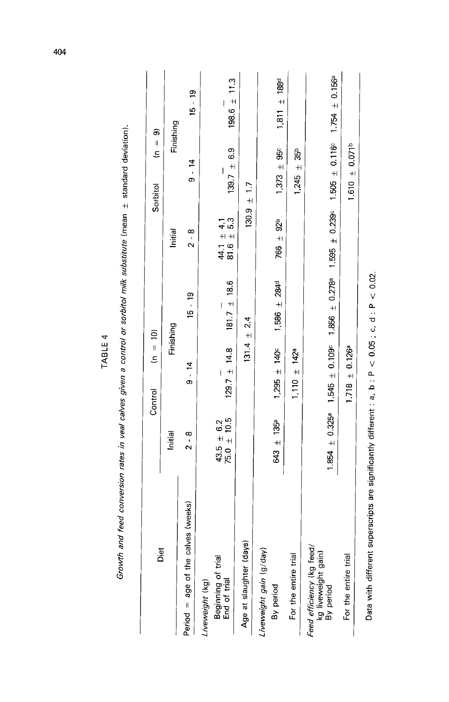| Diet                                                          |                                   | $(n = 10)$<br>Control        |                     |                                  | $\frac{1}{2}$<br>Sorbitol | த                                            |
|---------------------------------------------------------------|-----------------------------------|------------------------------|---------------------|----------------------------------|---------------------------|----------------------------------------------|
|                                                               | Initial                           |                              | Finishing           | Initial                          |                           | Finishing                                    |
| Period = age of the calves (weeks)                            | $2 - 8$                           | $9 - 14$                     | $15 - 19$           | $2 - 8$                          | $9 - 14$                  | $15 - 19$                                    |
| Beginning of trial<br>End of trial<br>Liveweight (kg)         | $43.5 \pm 6.2$<br>75.0 $\pm$ 10.5 | $129.7 \pm 14.8$             | $181.7 \pm 18.6$    | 44.1 $\pm$ 4.1<br>81.6 $\pm$ 5.3 | $139.7 \pm 6.9$           | $198.6 \pm 11.3$<br>$\overline{\phantom{a}}$ |
| Age at slaughter (days)                                       |                                   |                              | $131.4 \pm 2.4$     |                                  | $130.9 \pm 1.7$           |                                              |
| Liveweight gain (g/day)<br>By period                          | 643 $\pm$ 135ª                    | $1,295 \pm 140^{\circ}$      | $1,586 \pm 284^d$   | $766 \pm 92^{b}$                 | $1,373 + 95^{\circ}$      | $1,811 \pm 188$ d                            |
| For the entire trial                                          |                                   | $1,110 \pm 142$ <sup>a</sup> |                     |                                  | $1,245 \pm 35^{b}$        |                                              |
| Feed efficiency (kg feed)<br>kg liveweight gain)<br>By period | $1.854 \pm 0.3259$                | $1.545 \pm 0.109$ c          | $1.856 \pm 0.278$ a | $1.595 \pm 0.239$ c              | $1.505 \pm 0.116c$        | $1.754 \pm 0.156$ <sup>a</sup>               |
| For the entire trial                                          |                                   | $1.718 \pm 0.1269$           |                     |                                  | $1.610 \pm 0.071^b$       |                                              |

Growth and feed conversion rates in veal calves given a control or sorbitol milk substitute (mean + standard deviation).

TABLE 4

404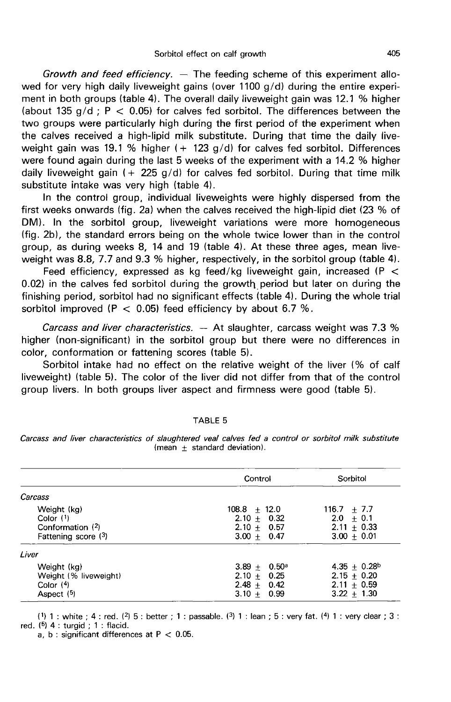Growth and feed efficiency.  $-$  The feeding scheme of this experiment allowed for very high daily liveweight gains (over 1100 g/d) during the entire experiment in both groups (table 4). The overall daily liveweight gain was 12.1 % higher (about 135  $q/d$ ; P < 0.05) for calves fed sorbitol. The differences between the two groups were particularly high during the first period of the experiment when the calves received a high-lipid milk substitute. During that time the daily liveweight gain was 19.1 % higher  $(+ 123 \text{ g/d})$  for calves fed sorbitol. Differences were found again during the last 5 weeks of the experiment with a 14.2 % higher daily liveweight gain  $(+ 225 g/d)$  for calves fed sorbitol. During that time milk substitute intake was very high (table 4).

In the control group, individual liveweights were highly dispersed from the first weeks onwards (fig. 2a) when the calves received the high-lipid diet (23 % of DM). In the sorbitol group, liveweight variations were more homogeneous (fig. 2b), the standard errors being on the whole twice lower than in the control group, as during weeks 8, 14 and 19 (table 4). At these three ages, mean liveweight was 8.8, 7.7 and 9.3 % higher, respectively, in the sorbitol group (table 4). first weeks onwards (fig. 2a) when the calves received the high-lipid diet (23 % of DM). In the sorbitol group, liveweight variations were more homogeneous (fig. 2b), the standard errors being on the whole twice lower tha

Feed efficiency, expressed as kg feed/kg liveweight gain, increased (P  $<$  0.02) in the calves fed sorbitol during the growth period but later on during the finishing period, sorbitol had no significant effects (table 4). During the whole trial sorbitol improved ( $P < 0.05$ ) feed efficiency by about 6.7 %.

Carcass and liver characteristics.  $-$  At slaughter, carcass weight was 7.3 % higher (non-significant) in the sorbitol group but there were no differences in color, conformation or fattening scores (table 5).

Sorbitol intake had no effect on the relative weight of the liver (% of calf liveweight) (table 5). The color of the liver did not differ from that of the control group livers. In both groups liver aspect and firmness were good (table 5).

|                       | Control               | Sorbitol        |
|-----------------------|-----------------------|-----------------|
| Carcass               |                       |                 |
| Weight (kg)           | $108.8 + 12.0$        | $116.7 + 7.7$   |
| Color $(1)$           | $2.10 + 0.32$         | $2.0 + 0.1$     |
| Conformation $(2)$    | $2.10 + 0.57$         | $2.11 \pm 0.33$ |
| Fattening score (3)   | $3.00 + 0.47$         | $3.00 \pm 0.01$ |
| Liver                 |                       |                 |
| Weight (kg)           | $3.89 + 0.50^{\circ}$ | $4.35 + 0.28b$  |
| Weight (% liveweight) | $2.10 + 0.25$         | $2.15 + 0.20$   |
| Color $(4)$           | $2.48 + 0.42$         | $2.11 + 0.59$   |
| Aspect $(5)$          | $3.10 + 0.99$         | $3.22 + 1.30$   |

#### **TABLE 5**

Carcass and liver characteristics of slaughtered veal calves fed a control or sorbitol milk substitute (mean  $+$  standard deviation).

(1) 1 : white : 4 : red. (2) 5 : better : 1 : passable. (3) 1 : lean : 5 : very fat. (4) 1 : very clear : 3 : red.  $(5)$  4 : turgid : 1 : flacid.

a, b : significant differences at  $P < 0.05$ .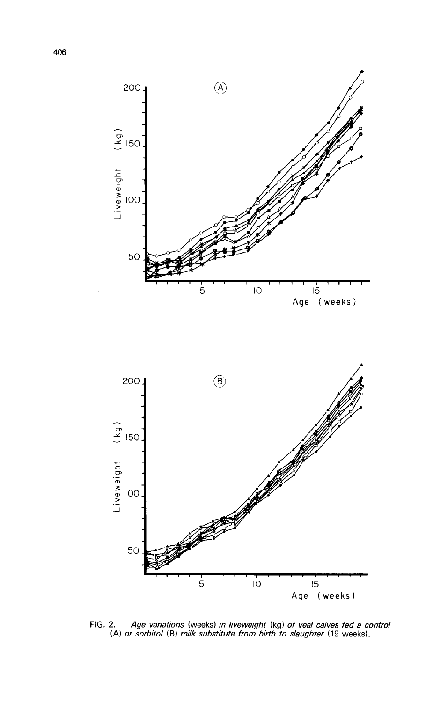



FIG. 2. - Age variations (weeks) in liveweight (kg) of veal calves fed a control (A) or sorbitol (B) milk substitute from birth to slaughter (19 weeks).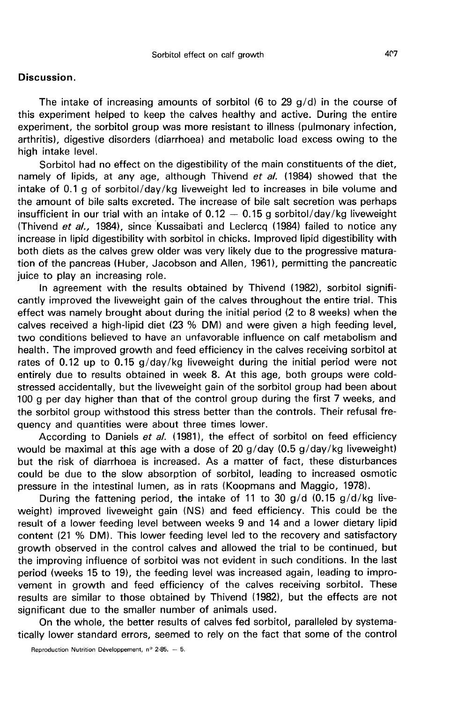## Discussion.

The intake of increasing amounts of sorbitol  $(6 \text{ to } 29 \text{ g/d})$  in the course of this experiment helped to keep the calves healthy and active. During the entire experiment, the sorbitol group was more resistant to illness (pulmonary infection, arthritis), digestive disorders (diarrhoea) and metabolic load excess owing to the high intake level.

Sorbitol had no effect on the digestibility of the main constituents of the diet, namely of lipids, at any age, although Thivend et al. (1984) showed that the intake of 0.1 g of sorbitol/day/kg liveweight led to increases in bile volume and the amount of bile salts excreted. The increase of bile salt secretion was perhaps insufficient in our trial with an intake of  $0.12 - 0.15$  g sorbitol/day/kg liveweight (Thivend et al., 1984), since Kussaibati and Leclercq (1984) failed to notice any increase in lipid digestibility with sorbitol in chicks. Improved lipid digestibility with both diets as the calves grew older was very likely due to the progressive maturation of the pancreas (Huber, Jacobson and Allen, 1961), permitting the pancreatic juice to play an increasing role.

In agreement with the results obtained by Thivend (1982), sorbitol significantly improved the liveweight gain of the calves throughout the entire trial. This effect was namely brought about during the initial period (2 to 8 weeks) when the calves received a high-lipid diet (23 % DM) and were given a high feeding level, two conditions believed to have an unfavorable influence on calf metabolism and health. The improved growth and feed efficiency in the calves receiving sorbitol at rates of 0.12 up to 0.15 g/day/kg liveweight during the initial period were not entirely due to results obtained in week 8. At this age, both groups were coldstressed accidentally, but the liveweight gain of the sorbitol group had been about 100 g per day higher than that of the control group during the first 7 weeks, and the sorbitol group withstood this stress better than the controls. Their refusal frequency and quantities were about three times lower.

According to Daniels et al. (1981), the effect of sorbitol on feed efficiency would be maximal at this age with a dose of 20 g/day (0.5 g/day/kg liveweight) but the risk of diarrhoea is increased. As a matter of fact, these disturbances could be due to the slow absorption of sorbitol, leading to increased osmotic pressure in the intestinal lumen, as in rats (Koopmans and Maggio, 1978).

During the fattening period, the intake of 11 to 30  $q/d$  (0.15  $q/d/kg$  liveweight) improved liveweight gain (NS) and feed efficiency. This could be the result of a lower feeding level between weeks 9 and 14 and a lower dietary lipid content (21 % DM). This lower feeding level led to the recovery and satisfactory growth observed in the control calves and allowed the trial to be continued, but the improving influence of sorbitol was not evident in such conditions. In the last period (weeks 15 to 19), the feeding level was increased again, leading to improvement in growth and feed efficiency of the calves receiving sorbitol. These results are similar to those obtained by Thivend (1982), but the effects are not significant due to the smaller number of animals used.

On the whole, the better results of calves fed sorbitol, paralleled by systematically lower standard errors, seemed to rely on the fact that some of the control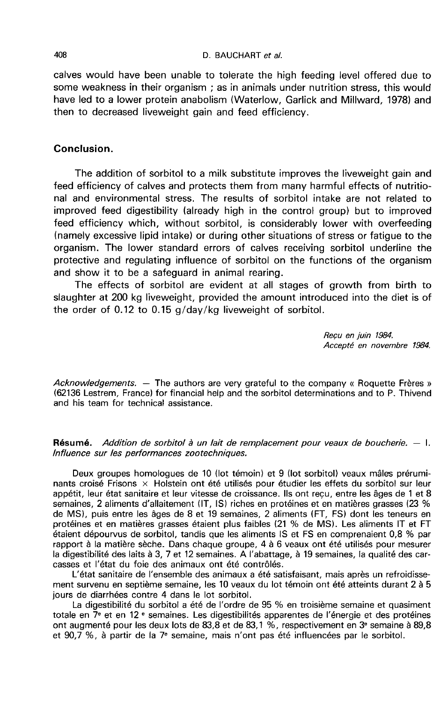#### D. BAUCHART et al.

calves would have been unable to tolerate the high feeding level offered due to some weakness in their organism ; as in animals under nutrition stress, this would have led to a lower protein anabolism (Waterlow, Garlick and Millward, 1978) and then to decreased liveweight gain and feed efficiency.

# Conclusion.

The addition of sorbitol to a milk substitute improves the liveweight gain and feed efficiency of calves and protects them from many harmful effects of nutritional and environmental stress. The results of sorbitol intake are not related to improved feed digestibility (already high in the control group) but to improved feed efficiency which, without sorbitol, is considerably lower with overfeeding (namely excessive lipid intake) or during other situations of stress or fatigue to the organism. The lower standard errors of calves receiving sorbitol underline the protective and regulating influence of sorbitol on the functions of the organism and show it to be a safeguard in animal rearing.

The effects of sorbitol are evident at all stages of growth from birth to slaughter at 200 kg liveweight, provided the amount introduced into the diet is of the order of 0.12 to 0.15 g/day/kg liveweight of sorbitol.

> Recu en juin 1984. Accepte en novembre 1984.

Acknowledgements.  $-$  The authors are very grateful to the company « Roquette Frères » (62136 Lestrem, France) for financial help and the sorbitol determinations and to P. Thivend and his team for technical assistance.

**Résumé.** Addition de sorbitol à un lait de remplacement pour veaux de boucherie.  $-1$ . lnfluence sur les performances zootechniques.

Deux groupes homologues de 10 (lot témoin) et 9 (lot sorbitol) veaux mâles prérumi- nants croisé Frisons x Holstein ont été utilisés pour étudier les effets du sorbitol sur leur appétit, leur état sanitaire et leur vitesse de croissance. Ils ont reçu, entre les âges de 1 et 8 semaines, 2 aliments d'allaitement (IT, IS) riches en protéines et en matières grasses (23 % de MS), puis entre les âges de 8 et 19 semaines, 2 aliments (FT, FS) dont les teneurs en protéines et en matières grasses étaient plus faibles (21 % de MSI. Les aliments IT et FT étaient dépourvus de sorbitol, tandis que les aliments IS et FS en comprenaient 0,8 % par rapport à la matière sèche. Dans chaque groupe, 4 à 6 veaux ont été utilisés pour mesurer la digestibilité des laits à 3, 7 et 12 semaines. A l'abattage, à 19 semaines, la qualité des carcasses et l'état du foie des animaux ont été contrôlés.

L'état sanitaire de l'ensemble des animaux a été satisfaisant, mais après un refroidissement survenu en septième semaine, les 10 veaux du lot témoin ont été atteints durant 2 à 5 jours de diarrhées contre 4 dans le lot sorbitol.

La digestibilité du sorbitol a été de l'ordre de 95 % en troisième semaine et quasiment<br>totale en  $7^{\circ}$  et en 12  $^{\circ}$  semaines. Les digestibilités apparentes de l'énergie et des protéines ont augmenté pour les deux lots de 83,8 et de 83,1 %, respectivement en 3<sup>e</sup> semaine à 89,8 et 90,7 %, à partir de la 7e semaine, mais n'ont pas été influencées par le sorbitol.